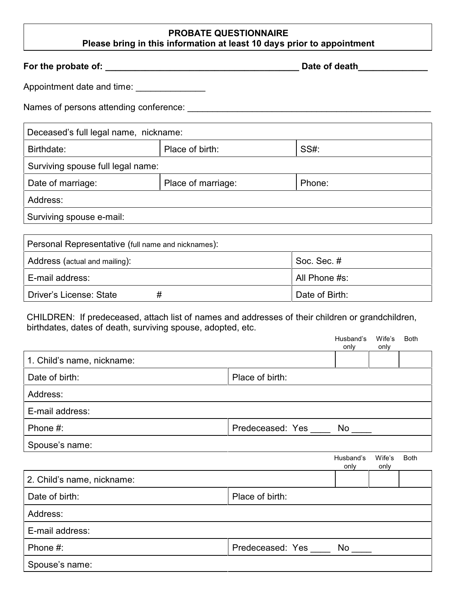## **PROBATE QUESTIONNAIRE Please bring in this information at least 10 days prior to appointment**

**For the probate of: \_\_\_\_\_\_\_\_\_\_\_\_\_\_\_\_\_\_\_\_\_\_\_\_\_\_\_\_\_\_\_\_\_\_\_\_\_\_\_ Date of death\_\_\_\_\_\_\_\_\_\_\_\_\_\_** 

Appointment date and time:

Names of persons attending conference: \_\_\_\_\_\_\_\_\_\_\_\_\_\_\_\_\_\_\_\_\_\_\_\_\_\_\_\_\_\_\_\_\_\_\_\_\_\_\_\_\_\_\_\_\_\_\_\_\_

| Deceased's full legal name, nickname: |                    |        |  |
|---------------------------------------|--------------------|--------|--|
| Birthdate:                            | Place of birth:    | SS#:   |  |
| Surviving spouse full legal name:     |                    |        |  |
| Date of marriage:                     | Place of marriage: | Phone: |  |
| Address:                              |                    |        |  |
| Surviving spouse e-mail:              |                    |        |  |

| Personal Representative (full name and nicknames): |                |  |  |
|----------------------------------------------------|----------------|--|--|
| Address (actual and mailing):                      | Soc. Sec. #    |  |  |
| ∣ E-mail address:                                  | All Phone #s:  |  |  |
| Driver's License: State                            | Date of Birth: |  |  |

CHILDREN: If predeceased, attach list of names and addresses of their children or grandchildren, birthdates, dates of death, surviving spouse, adopted, etc.

|                            |                  | Husband's<br>only | Wife's<br>only | <b>Both</b> |
|----------------------------|------------------|-------------------|----------------|-------------|
| 1. Child's name, nickname: |                  |                   |                |             |
| Date of birth:             | Place of birth:  |                   |                |             |
| Address:                   |                  |                   |                |             |
| E-mail address:            |                  |                   |                |             |
| Phone #:                   | Predeceased: Yes | No                |                |             |
| Spouse's name:             |                  |                   |                |             |
|                            |                  | Husband's<br>only | Wife's<br>only | <b>Both</b> |
| 2. Child's name, nickname: |                  |                   |                |             |
| Date of birth:             | Place of birth:  |                   |                |             |
| Address:                   |                  |                   |                |             |
| E-mail address:            |                  |                   |                |             |
| Phone #:                   | Predeceased: Yes | $No$ $\_\_$       |                |             |
| Spouse's name:             |                  |                   |                |             |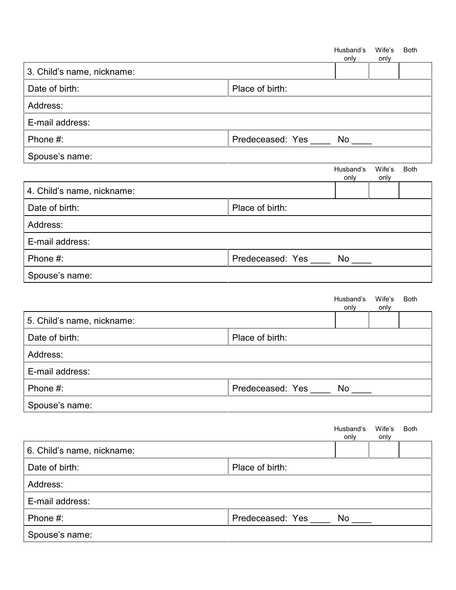|                            |                                | Husband's<br>only | Wife's<br>only | <b>Both</b> |
|----------------------------|--------------------------------|-------------------|----------------|-------------|
| 3. Child's name, nickname: |                                |                   |                |             |
| Date of birth:             | Place of birth:                |                   |                |             |
| Address:                   |                                |                   |                |             |
| E-mail address:            |                                |                   |                |             |
| Phone #:                   | Predeceased: Yes _____         | No                |                |             |
| Spouse's name:             |                                |                   |                |             |
|                            |                                | Husband's<br>only | Wife's<br>only | <b>Both</b> |
| 4. Child's name, nickname: |                                |                   |                |             |
| Date of birth:             | Place of birth:                |                   |                |             |
| Address:                   |                                |                   |                |             |
| E-mail address:            |                                |                   |                |             |
| Phone #:                   | Predeceased: Yes _____ No ____ |                   |                |             |
| Spouse's name:             |                                |                   |                |             |
|                            |                                | Husband's<br>only | Wife's<br>only | <b>Both</b> |
| 5. Child's name, nickname: |                                |                   |                |             |
| Date of birth:             | Place of birth:                |                   |                |             |
| Address:                   |                                |                   |                |             |
| E-mail address:            |                                |                   |                |             |
| Phone #:                   | Predeceased: Yes _____ No ___  |                   |                |             |
| Spouse's name:             |                                |                   |                |             |
|                            |                                | Husband's<br>only | Wife's<br>only | <b>Both</b> |
| 6. Child's name, nickname: |                                |                   |                |             |
| Date of birth:             | Place of birth:                |                   |                |             |
| Address:                   |                                |                   |                |             |
| E-mail address:            |                                |                   |                |             |
| Phone #:                   | Predeceased: Yes _____         | No                |                |             |
| Spouse's name:             |                                |                   |                |             |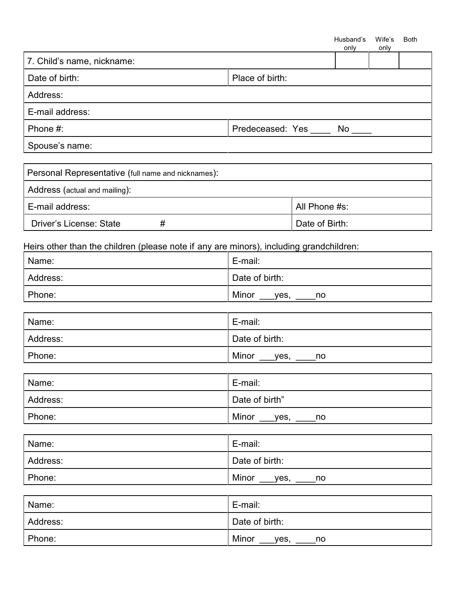|                                                                                         |                               |    | Husband's<br>only | Wife's<br>only | <b>Both</b> |
|-----------------------------------------------------------------------------------------|-------------------------------|----|-------------------|----------------|-------------|
| 7. Child's name, nickname:                                                              |                               |    |                   |                |             |
| Date of birth:                                                                          | Place of birth:               |    |                   |                |             |
| Address:                                                                                |                               |    |                   |                |             |
| E-mail address:                                                                         |                               |    |                   |                |             |
| Phone #:                                                                                | Predeceased: Yes _____ No ___ |    |                   |                |             |
| Spouse's name:                                                                          |                               |    |                   |                |             |
| Personal Representative (full name and nicknames):                                      |                               |    |                   |                |             |
| Address (actual and mailing):                                                           |                               |    |                   |                |             |
| E-mail address:<br>All Phone #s:                                                        |                               |    |                   |                |             |
| Driver's License: State<br>#<br>Date of Birth:                                          |                               |    |                   |                |             |
| Heirs other than the children (please note if any are minors), including grandchildren: |                               |    |                   |                |             |
| Name:                                                                                   | E-mail:                       |    |                   |                |             |
| Address:                                                                                | Date of birth:                |    |                   |                |             |
| Phone:                                                                                  | Minor ____yes, _____<br>no    |    |                   |                |             |
| Name:                                                                                   | E-mail:                       |    |                   |                |             |
| Address:                                                                                | Date of birth:                |    |                   |                |             |
| Phone:                                                                                  | Minor ____yes, _____no        |    |                   |                |             |
| Name:                                                                                   | E-mail:                       |    |                   |                |             |
| Address:                                                                                | Date of birth"                |    |                   |                |             |
| Phone:                                                                                  | Minor ____yes, ____           | no |                   |                |             |
|                                                                                         | $\Gamma$ month.               |    |                   |                |             |

| Name:    | E-mail:             |
|----------|---------------------|
| Address: | Date of birth:      |
| Phone:   | Minor<br>yes,<br>no |

| Name:    | E-mail:             |
|----------|---------------------|
| Address: | Date of birth:      |
| Phone:   | Minor<br>yes,<br>no |